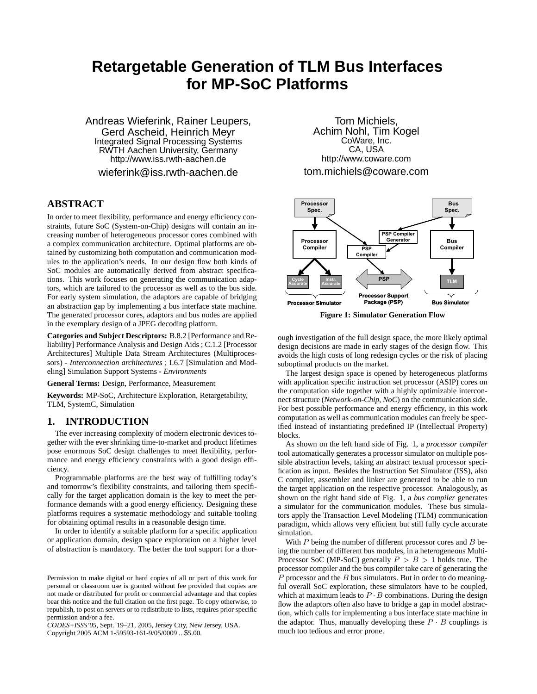# **Retargetable Generation of TLM Bus Interfaces for MP-SoC Platforms**

Andreas Wieferink, Rainer Leupers, Gerd Ascheid, Heinrich Meyr Integrated Signal Processing Systems RWTH Aachen University, Germany http://www.iss.rwth-aachen.de

wieferink@iss.rwth-aachen.de

### **ABSTRACT**

In order to meet flexibility, performance and energy efficiency constraints, future SoC (System-on-Chip) designs will contain an increasing number of heterogeneous processor cores combined with a complex communication architecture. Optimal platforms are obtained by customizing both computation and communication modules to the application's needs. In our design flow both kinds of SoC modules are automatically derived from abstract specifications. This work focuses on generating the communication adaptors, which are tailored to the processor as well as to the bus side. For early system simulation, the adaptors are capable of bridging an abstraction gap by implementing a bus interface state machine. The generated processor cores, adaptors and bus nodes are applied in the exemplary design of a JPEG decoding platform.

**Categories and Subject Descriptors:** B.8.2 [Performance and Reliability] Performance Analysis and Design Aids ; C.1.2 [Processor Architectures] Multiple Data Stream Architectures (Multiprocessors) *- Interconnection architectures* ; I.6.7 [Simulation and Modeling] Simulation Support Systems *- Environments*

**General Terms:** Design, Performance, Measurement

**Keywords:** MP-SoC, Architecture Exploration, Retargetability, TLM, SystemC, Simulation

#### **1. INTRODUCTION**

The ever increasing complexity of modern electronic devices together with the ever shrinking time-to-market and product lifetimes pose enormous SoC design challenges to meet flexibility, performance and energy efficiency constraints with a good design efficiency.

Programmable platforms are the best way of fulfilling today's and tomorrow's flexibility constraints, and tailoring them specifically for the target application domain is the key to meet the performance demands with a good energy efficiency. Designing these platforms requires a systematic methodology and suitable tooling for obtaining optimal results in a reasonable design time.

In order to identify a suitable platform for a specific application or application domain, design space exploration on a higher level of abstraction is mandatory. The better the tool support for a thor-

*CODES+ISSS'05,* Sept. 19–21, 2005, Jersey City, New Jersey, USA. Copyright 2005 ACM 1-59593-161-9/05/0009 ...\$5.00.

Tom Michiels, Achim Nohl, Tim Kogel CoWare, Inc. CA, USA http://www.coware.com tom.michiels@coware.com



**Figure 1: Simulator Generation Flow**

ough investigation of the full design space, the more likely optimal design decisions are made in early stages of the design flow. This avoids the high costs of long redesign cycles or the risk of placing suboptimal products on the market.

The largest design space is opened by heterogeneous platforms with application specific instruction set processor (ASIP) cores on the computation side together with a highly optimizable interconnect structure (*Network-on-Chip*, *NoC*) on the communication side. For best possible performance and energy efficiency, in this work computation as well as communication modules can freely be specified instead of instantiating predefined IP (Intellectual Property) blocks.

As shown on the left hand side of Fig. 1, a *processor compiler* tool automatically generates a processor simulator on multiple possible abstraction levels, taking an abstract textual processor specification as input. Besides the Instruction Set Simulator (ISS), also C compiler, assembler and linker are generated to be able to run the target application on the respective processor. Analogously, as shown on the right hand side of Fig. 1, a *bus compiler* generates a simulator for the communication modules. These bus simulators apply the Transaction Level Modeling (TLM) communication paradigm, which allows very efficient but still fully cycle accurate simulation.

With *P* being the number of different processor cores and *B* being the number of different bus modules, in a heterogeneous Multi-Processor SoC (MP-SoC) generally  $P > B > 1$  holds true. The processor compiler and the bus compiler take care of generating the *P* processor and the *B* bus simulators. But in order to do meaningful overall SoC exploration, these simulators have to be coupled, which at maximum leads to  $P \cdot B$  combinations. During the design flow the adaptors often also have to bridge a gap in model abstraction, which calls for implementing a bus interface state machine in the adaptor. Thus, manually developing these  $P \cdot B$  couplings is much too tedious and error prone.

Permission to make digital or hard copies of all or part of this work for personal or classroom use is granted without fee provided that copies are not made or distributed for profit or commercial advantage and that copies bear this notice and the full citation on the first page. To copy otherwise, to republish, to post on servers or to redistribute to lists, requires prior specific permission and/or a fee.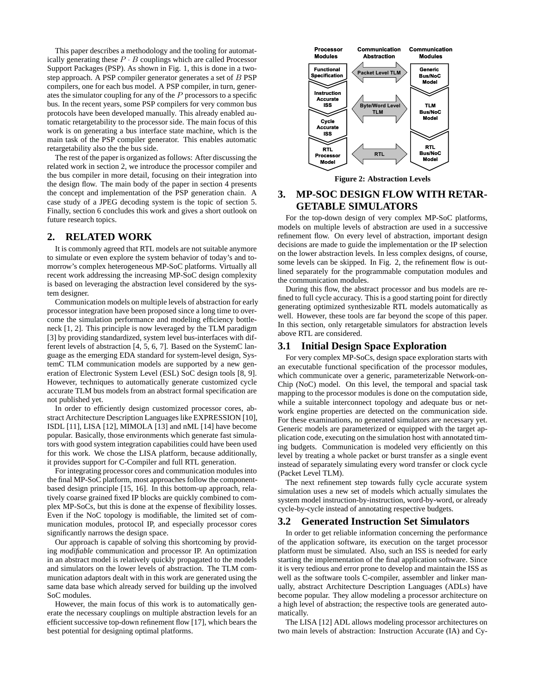This paper describes a methodology and the tooling for automatically generating these  $P \cdot B$  couplings which are called Processor Support Packages (PSP). As shown in Fig. 1, this is done in a twostep approach. A PSP compiler generator generates a set of *B* PSP compilers, one for each bus model. A PSP compiler, in turn, generates the simulator coupling for any of the *P* processors to a specific bus. In the recent years, some PSP compilers for very common bus protocols have been developed manually. This already enabled automatic retargetability to the processor side. The main focus of this work is on generating a bus interface state machine, which is the main task of the PSP compiler generator. This enables automatic retargetability also the the bus side.

The rest of the paper is organized as follows: After discussing the related work in section 2, we introduce the processor compiler and the bus compiler in more detail, focusing on their integration into the design flow. The main body of the paper in section 4 presents the concept and implementation of the PSP generation chain. A case study of a JPEG decoding system is the topic of section 5. Finally, section 6 concludes this work and gives a short outlook on future research topics.

#### **2. RELATED WORK**

It is commonly agreed that RTL models are not suitable anymore to simulate or even explore the system behavior of today's and tomorrow's complex heterogeneous MP-SoC platforms. Virtually all recent work addressing the increasing MP-SoC design complexity is based on leveraging the abstraction level considered by the system designer.

Communication models on multiple levels of abstraction for early processor integration have been proposed since a long time to overcome the simulation performance and modeling efficiency bottleneck [1, 2]. This principle is now leveraged by the TLM paradigm [3] by providing standardized, system level bus-interfaces with different levels of abstraction [4, 5, 6, 7]. Based on the SystemC language as the emerging EDA standard for system-level design, SystemC TLM communication models are supported by a new generation of Electronic System Level (ESL) SoC design tools [8, 9]. However, techniques to automatically generate customized cycle accurate TLM bus models from an abstract formal specification are not published yet.

In order to efficiently design customized processor cores, abstract Architecture Description Languages like EXPRESSION [10], ISDL [11], LISA [12], MIMOLA [13] and nML [14] have become popular. Basically, those environments which generate fast simulators with good system integration capabilities could have been used for this work. We chose the LISA platform, because additionally, it provides support for C-Compiler and full RTL generation.

For integrating processor cores and communication modules into the final MP-SoC platform, most approaches follow the componentbased design principle [15, 16]. In this bottom-up approach, relatively coarse grained fixed IP blocks are quickly combined to complex MP-SoCs, but this is done at the expense of flexibility losses. Even if the NoC topology is modifiable, the limited set of communication modules, protocol IP, and especially processor cores significantly narrows the design space.

Our approach is capable of solving this shortcoming by providing *modifiable* communication and processor IP. An optimization in an abstract model is relatively quickly propagated to the models and simulators on the lower levels of abstraction. The TLM communication adaptors dealt with in this work are generated using the same data base which already served for building up the involved SoC modules.

However, the main focus of this work is to automatically generate the necessary couplings on multiple abstraction levels for an efficient successive top-down refinement flow [17], which bears the best potential for designing optimal platforms.



**Figure 2: Abstraction Levels**

### **3. MP-SOC DESIGN FLOW WITH RETAR-GETABLE SIMULATORS**

For the top-down design of very complex MP-SoC platforms, models on multiple levels of abstraction are used in a successive refinement flow. On every level of abstraction, important design decisions are made to guide the implementation or the IP selection on the lower abstraction levels. In less complex designs, of course, some levels can be skipped. In Fig. 2, the refinement flow is outlined separately for the programmable computation modules and the communication modules.

During this flow, the abstract processor and bus models are refined to full cycle accuracy. This is a good starting point for directly generating optimized synthesizable RTL models automatically as well. However, these tools are far beyond the scope of this paper. In this section, only retargetable simulators for abstraction levels above RTL are considered.

#### **3.1 Initial Design Space Exploration**

For very complex MP-SoCs, design space exploration starts with an executable functional specification of the processor modules, which communicate over a generic, parameterizable Network-on-Chip (NoC) model. On this level, the temporal and spacial task mapping to the processor modules is done on the computation side, while a suitable interconnect topology and adequate bus or network engine properties are detected on the communication side. For these examinations, no generated simulators are necessary yet. Generic models are parameterized or equipped with the target application code, executing on the simulation host with annotated timing budgets. Communication is modeled very efficiently on this level by treating a whole packet or burst transfer as a single event instead of separately simulating every word transfer or clock cycle (Packet Level TLM).

The next refinement step towards fully cycle accurate system simulation uses a new set of models which actually simulates the system model instruction-by-instruction, word-by-word, or already cycle-by-cycle instead of annotating respective budgets.

#### **3.2 Generated Instruction Set Simulators**

In order to get reliable information concerning the performance of the application software, its execution on the target processor platform must be simulated. Also, such an ISS is needed for early starting the implementation of the final application software. Since it is very tedious and error prone to develop and maintain the ISS as well as the software tools C-compiler, assembler and linker manually, abstract Architecture Description Languages (ADLs) have become popular. They allow modeling a processor architecture on a high level of abstraction; the respective tools are generated automatically.

The LISA [12] ADL allows modeling processor architectures on two main levels of abstraction: Instruction Accurate (IA) and Cy-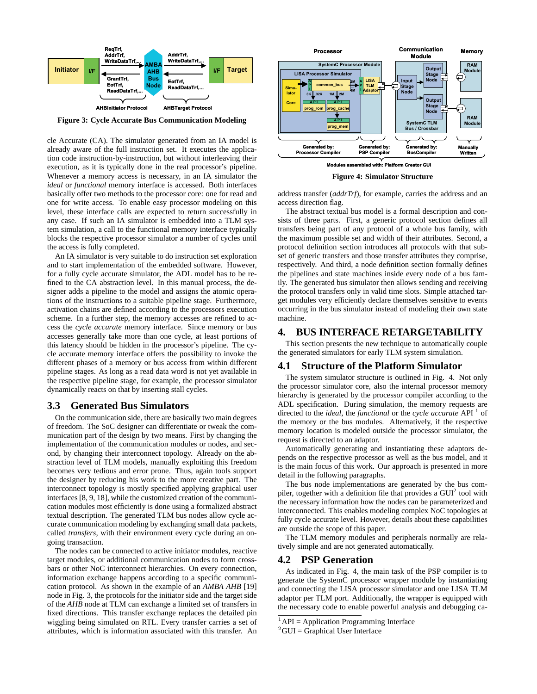

**Figure 3: Cycle Accurate Bus Communication Modeling**

cle Accurate (CA). The simulator generated from an IA model is already aware of the full instruction set. It executes the application code instruction-by-instruction, but without interleaving their execution, as it is typically done in the real processor's pipeline. Whenever a memory access is necessary, in an IA simulator the *ideal* or *functional* memory interface is accessed. Both interfaces basically offer two methods to the processor core: one for read and one for write access. To enable easy processor modeling on this level, these interface calls are expected to return successfully in any case. If such an IA simulator is embedded into a TLM system simulation, a call to the functional memory interface typically blocks the respective processor simulator a number of cycles until the access is fully completed.

An IA simulator is very suitable to do instruction set exploration and to start implementation of the embedded software. However, for a fully cycle accurate simulator, the ADL model has to be refined to the CA abstraction level. In this manual process, the designer adds a pipeline to the model and assigns the atomic operations of the instructions to a suitable pipeline stage. Furthermore, activation chains are defined according to the processors execution scheme. In a further step, the memory accesses are refined to access the *cycle accurate* memory interface. Since memory or bus accesses generally take more than one cycle, at least portions of this latency should be hidden in the processor's pipeline. The cycle accurate memory interface offers the possibility to invoke the different phases of a memory or bus access from within different pipeline stages. As long as a read data word is not yet available in the respective pipeline stage, for example, the processor simulator dynamically reacts on that by inserting stall cycles.

#### **3.3 Generated Bus Simulators**

On the communication side, there are basically two main degrees of freedom. The SoC designer can differentiate or tweak the communication part of the design by two means. First by changing the implementation of the communication modules or nodes, and second, by changing their interconnect topology. Already on the abstraction level of TLM models, manually exploiting this freedom becomes very tedious and error prone. Thus, again tools support the designer by reducing his work to the more creative part. The interconnect topology is mostly specified applying graphical user interfaces [8, 9, 18], while the customized creation of the communication modules most efficiently is done using a formalized abstract textual description. The generated TLM bus nodes allow cycle accurate communication modeling by exchanging small data packets, called *transfers*, with their environment every cycle during an ongoing transaction.

The nodes can be connected to active initiator modules, reactive target modules, or additional communication nodes to form crossbars or other NoC interconnect hierarchies. On every connection, information exchange happens according to a specific communication protocol. As shown in the example of an *AMBA AHB* [19] node in Fig. 3, the protocols for the initiator side and the target side of the *AHB* node at TLM can exchange a limited set of transfers in fixed directions. This transfer exchange replaces the detailed pin wiggling being simulated on RTL. Every transfer carries a set of attributes, which is information associated with this transfer. An



**Figure 4: Simulator Structure**

address transfer (*addrTrf*), for example, carries the address and an access direction flag.

The abstract textual bus model is a formal description and consists of three parts. First, a generic protocol section defines all transfers being part of any protocol of a whole bus family, with the maximum possible set and width of their attributes. Second, a protocol definition section introduces all protocols with that subset of generic transfers and those transfer attributes they comprise, respectively. And third, a node definition section formally defines the pipelines and state machines inside every node of a bus family. The generated bus simulator then allows sending and receiving the protocol transfers only in valid time slots. Simple attached target modules very efficiently declare themselves sensitive to events occurring in the bus simulator instead of modeling their own state machine.

#### **4. BUS INTERFACE RETARGETABILITY**

This section presents the new technique to automatically couple the generated simulators for early TLM system simulation.

#### **4.1 Structure of the Platform Simulator**

The system simulator structure is outlined in Fig. 4. Not only the processor simulator core, also the internal processor memory hierarchy is generated by the processor compiler according to the ADL specification. During simulation, the memory requests are directed to the *ideal*, the *functional* or the *cycle accurate* API <sup>1</sup> of the memory or the bus modules. Alternatively, if the respective memory location is modeled outside the processor simulator, the request is directed to an adaptor.

Automatically generating and instantiating these adaptors depends on the respective processor as well as the bus model, and it is the main focus of this work. Our approach is presented in more detail in the following paragraphs.

The bus node implementations are generated by the bus compiler, together with a definition file that provides a  $GUI<sup>2</sup>$  tool with the necessary information how the nodes can be parameterized and interconnected. This enables modeling complex NoC topologies at fully cycle accurate level. However, details about these capabilities are outside the scope of this paper.

The TLM memory modules and peripherals normally are relatively simple and are not generated automatically.

#### **4.2 PSP Generation**

As indicated in Fig. 4, the main task of the PSP compiler is to generate the SystemC processor wrapper module by instantiating and connecting the LISA processor simulator and one LISA TLM adaptor per TLM port. Additionally, the wrapper is equipped with the necessary code to enable powerful analysis and debugging ca-

 ${}^{1}$ API = Application Programming Interface

 ${}^{2}$ GUI = Graphical User Interface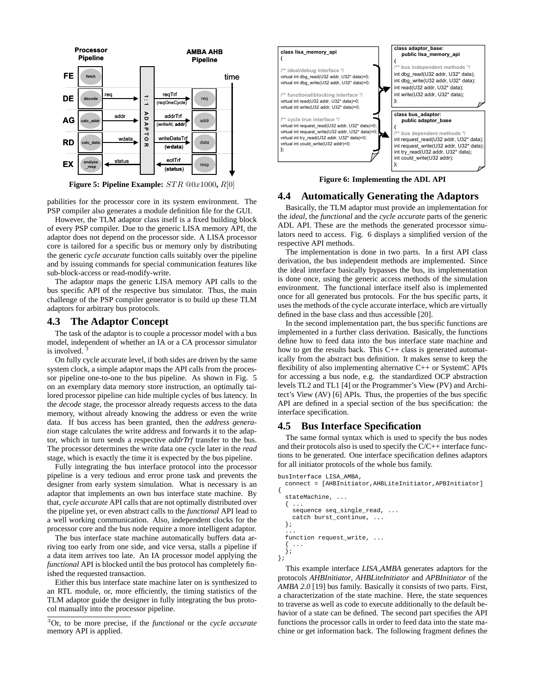

**Figure 5: Pipeline Example:** *STR* @0*x*1000**,** *R*[0]

pabilities for the processor core in its system environment. The PSP compiler also generates a module definition file for the GUI.

However, the TLM adaptor class itself is a fixed building block of every PSP compiler. Due to the generic LISA memory API, the adaptor does not depend on the processor side. A LISA processor core is tailored for a specific bus or memory only by distributing the generic *cycle accurate* function calls suitably over the pipeline and by issuing commands for special communication features like sub-block-access or read-modify-write.

The adaptor maps the generic LISA memory API calls to the bus specific API of the respective bus simulator. Thus, the main challenge of the PSP compiler generator is to build up these TLM adaptors for arbitrary bus protocols.

#### **4.3 The Adaptor Concept**

The task of the adaptor is to couple a processor model with a bus model, independent of whether an IA or a CA processor simulator is involved.

On fully cycle accurate level, if both sides are driven by the same system clock, a simple adaptor maps the API calls from the processor pipeline one-to-one to the bus pipeline. As shown in Fig. 5 on an exemplary data memory store instruction, an optimally tailored processor pipeline can hide multiple cycles of bus latency. In the *decode* stage, the processor already requests access to the data memory, without already knowing the address or even the write data. If bus access has been granted, then the *address generation* stage calculates the write address and forwards it to the adaptor, which in turn sends a respective *addrTrf* transfer to the bus. The processor determines the write data one cycle later in the *read* stage, which is exactly the time it is expected by the bus pipeline.

Fully integrating the bus interface protocol into the processor pipeline is a very tedious and error prone task and prevents the designer from early system simulation. What is necessary is an adaptor that implements an own bus interface state machine. By that, *cycle accurate* API calls that are not optimally distributed over the pipeline yet, or even abstract calls to the *functional* API lead to a well working communication. Also, independent clocks for the processor core and the bus node require a more intelligent adaptor.

The bus interface state machine automatically buffers data arriving too early from one side, and vice versa, stalls a pipeline if a data item arrives too late. An IA processor model applying the *functional* API is blocked until the bus protocol has completely finished the requested transaction.

Either this bus interface state machine later on is synthesized to an RTL module, or, more efficiently, the timing statistics of the TLM adaptor guide the designer in fully integrating the bus protocol manually into the processor pipeline.



**Figure 6: Implementing the ADL API**

#### **4.4 Automatically Generating the Adaptors**

Basically, the TLM adaptor must provide an implementation for the *ideal*, the *functional* and the *cycle accurate* parts of the generic ADL API. These are the methods the generated processor simulators need to access. Fig. 6 displays a simplified version of the respective API methods.

The implementation is done in two parts. In a first API class derivation, the bus independent methods are implemented. Since the ideal interface basically bypasses the bus, its implementation is done once, using the generic access methods of the simulation environment. The functional interface itself also is implemented once for all generated bus protocols. For the bus specific parts, it uses the methods of the cycle accurate interface, which are virtually defined in the base class and thus accessible [20].

In the second implementation part, the bus specific functions are implemented in a further class derivation. Basically, the functions define how to feed data into the bus interface state machine and how to get the results back. This C<sup>++</sup> class is generated automatically from the abstract bus definition. It makes sense to keep the flexibility of also implementing alternative C++ or SystemC APIs for accessing a bus node, e.g. the standardized OCP abstraction levels TL2 and TL1 [4] or the Programmer's View (PV) and Architect's View (AV) [6] APIs. Thus, the properties of the bus specific API are defined in a special section of the bus specification: the interface specification.

#### **4.5 Bus Interface Specification**

The same formal syntax which is used to specify the bus nodes and their protocols also is used to specify the C/C++ interface functions to be generated. One interface specification defines adaptors for all initiator protocols of the whole bus family.

```
busInterface LISA_AMBA,
  connect = [AHBInitiator,AHBLiteInitiator,APBInitiator]
{
  stateMachine, ...
  \{ \ldots \}sequence seq_single_read, ...
    catch burst_continue, ...
  };
  ...
  function request write, ...
  \{ \ldots \}};
};
```
This example interface *LISA AMBA* generates adaptors for the protocols *AHBInitiator*, *AHBLiteInitiator* and *APBInitiator* of the *AMBA 2.0* [19] bus family. Basically it consists of two parts. First, a characterization of the state machine. Here, the state sequences to traverse as well as code to execute additionally to the default behavior of a state can be defined. The second part specifies the API functions the processor calls in order to feed data into the state machine or get information back. The following fragment defines the

<sup>3</sup>Or, to be more precise, if the *functional* or the *cycle accurate* memory API is applied.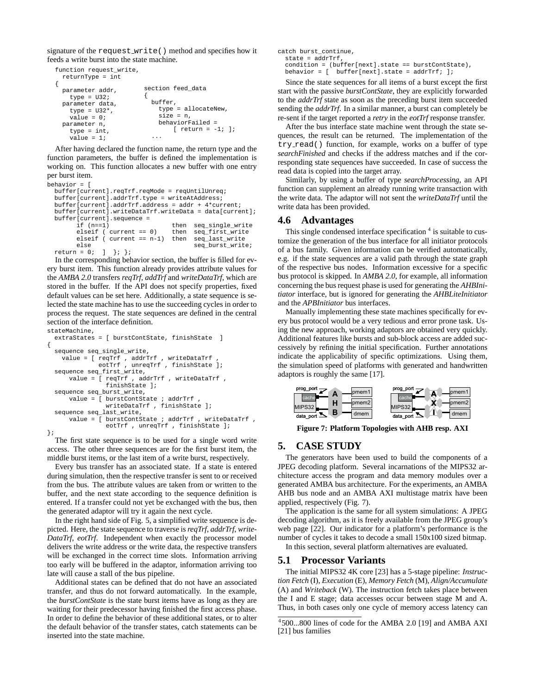signature of the request write() method and specifies how it feeds a write burst into the state machine.

```
function request_write,
 returnType = int
{
 parameter addr,
   type = U32;
 parameter data,
   type = U32*,
    value = 0;parameter n,
    type = int,value = 1;
                         section feed_data
                         {
                           buffer,
                             type = allocateNew,
                             size = n,
                             behaviorFailed =
                                 [ return = -1; ];
                           ...
```
After having declared the function name, the return type and the function parameters, the buffer is defined the implementation is working on. This function allocates a new buffer with one entry per burst item.

```
behavior = [
 buffer[current].reqTrf.reqMode = reqUntilUnreq;
 buffer[current].addrTrf.type = writeAtAddress;
 buffer[current].addrTrf.address = addr + 4*current;
 buffer[current].writeDataTrf.writeData = data[current];
 buffer[current].sequence =
       if (n==1) then seq_single_write
                               then seq_first_write<br>then seq_last_write
       elseif ( current == n-1) then
       else seq_burst_write;
 return = 0; | |;
```
In the corresponding behavior section, the buffer is filled for every burst item. This function already provides attribute values for the *AMBA 2.0* transfers *reqTrf*, *addTrf* and *writeDataTrf*, which are stored in the buffer. If the API does not specify properties, fixed default values can be set here. Additionally, a state sequence is selected the state machine has to use the succeeding cycles in order to process the request. The state sequences are defined in the central section of the interface definition.

#### stateMachine,

```
extraStates = [ burstContState, finishState ]
{
 sequence seq_single_write,
    value = [ reqTrf , addrTrf , writeDataTrf ,
eotTrf , unreqTrf , finishState ];
  sequence seq_first_write,
      value = [ reqTrf , addrTrf , writeDataTrf ,
                 finishState ];
  sequence seq_burst_write,
      value = [ burstContState ; addrTrf ,
                 writeDataTrf , finishState ];
 sequence seq_last_write,
      value = [ burstContState ; addrTrf , writeDataTrf ,
                 eotTrf , unreqTrf , finishState ];
};
```
The first state sequence is to be used for a single word write access. The other three sequences are for the first burst item, the middle burst items, or the last item of a write burst, respectively.

Every bus transfer has an associated state. If a state is entered during simulation, then the respective transfer is sent to or received from the bus. The attribute values are taken from or written to the buffer, and the next state according to the sequence definition is entered. If a transfer could not yet be exchanged with the bus, then the generated adaptor will try it again the next cycle.

In the right hand side of Fig. 5, a simplified write sequence is depicted. Here, the state sequence to traverse is *reqTrf*, *addrTrf*, *write-DataTrf*, *eotTrf*. Independent when exactly the processor model delivers the write address or the write data, the respective transfers will be exchanged in the correct time slots. Information arriving too early will be buffered in the adaptor, information arriving too late will cause a stall of the bus pipeline.

Additional states can be defined that do not have an associated transfer, and thus do not forward automatically. In the example, the *burstContState* is the state burst items have as long as they are waiting for their predecessor having finished the first access phase. In order to define the behavior of these additional states, or to alter the default behavior of the transfer states, catch statements can be inserted into the state machine.

catch burst\_continue,

```
state = addrTrf,
condition = (buffer[next].state == burstContState),
behavior = [ buffer[next].state = addrTrf; ];
```
Since the state sequences for all items of a burst except the first start with the passive *burstContState*, they are explicitly forwarded to the *addrTrf* state as soon as the preceding burst item succeeded sending the *addrTrf*. In a similar manner, a burst can completely be re-sent if the target reported a *retry* in the *eotTrf* response transfer.

After the bus interface state machine went through the state sequences, the result can be returned. The implementation of the try read() function, for example, works on a buffer of type *searchFinished* and checks if the address matches and if the corresponding state sequences have succeeded. In case of success the read data is copied into the target array.

Similarly, by using a buffer of type *searchProcessing*, an API function can supplement an already running write transaction with the write data. The adaptor will not sent the *writeDataTrf* until the write data has been provided.

#### **4.6 Advantages**

This single condensed interface specification  $4$  is suitable to customize the generation of the bus interface for all initiator protocols of a bus family. Given information can be verified automatically, e.g. if the state sequences are a valid path through the state graph of the respective bus nodes. Information excessive for a specific bus protocol is skipped. In *AMBA 2.0*, for example, all information concerning the bus request phase is used for generating the *AHBInitiator* interface, but is ignored for generating the *AHBLiteInitiator* and the *APBInitiator* bus interfaces.

Manually implementing these state machines specifically for every bus protocol would be a very tedious and error prone task. Using the new approach, working adaptors are obtained very quickly. Additional features like bursts and sub-block access are added successively by refining the initial specification. Further annotations indicate the applicability of specific optimizations. Using them, the simulation speed of platforms with generated and handwritten adaptors is roughly the same [17].



**Figure 7: Platform Topologies with AHB resp. AXI**

#### **5. CASE STUDY**

The generators have been used to build the components of a JPEG decoding platform. Several incarnations of the MIPS32 architecture access the program and data memory modules over a generated AMBA bus architecture. For the experiments, an AMBA AHB bus node and an AMBA AXI multistage matrix have been applied, respectively (Fig. 7).

The application is the same for all system simulations: A JPEG decoding algorithm, as it is freely available from the JPEG group's web page [22]. Our indicator for a platform's performance is the number of cycles it takes to decode a small 150x100 sized bitmap.

In this section, several platform alternatives are evaluated.

#### **5.1 Processor Variants**

The initial MIPS32 4K core [23] has a 5-stage pipeline: *Instruction Fetch* (I), *Execution* (E), *Memory Fetch* (M), *Align/Accumulate* (A) and *Writeback* (W). The instruction fetch takes place between the I and E stage; data accesses occur between stage M and A. Thus, in both cases only one cycle of memory access latency can

<sup>4</sup>500...800 lines of code for the AMBA 2.0 [19] and AMBA AXI [21] bus families